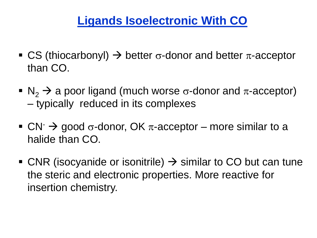- CS (thiocarbonyl)  $\rightarrow$  better σ-donor and better π-acceptor than CO.
- $\blacksquare$  N<sub>2</sub>  $\rightarrow$  a poor ligand (much worse  $\sigma$ -donor and  $\pi$ -acceptor) – typically reduced in its complexes
- CN<sup>-</sup>  $\rightarrow$  good  $\sigma$ -donor, OK  $\pi$ -acceptor more similar to a halide than CO.
- CNR (isocyanide or isonitrile)  $\rightarrow$  similar to CO but can tune the steric and electronic properties. More reactive for insertion chemistry.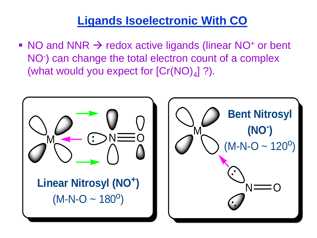$\bullet$  NO and NNR  $\rightarrow$  redox active ligands (linear NO<sup>+</sup> or bent NO- ) can change the total electron count of a complex (what would you expect for  $[Cr(NO)<sub>4</sub>]$ ?).

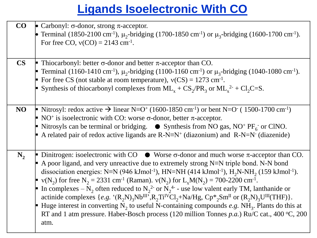| CO               | • Carbonyl: $\sigma$ -donor, strong $\pi$ -acceptor.<br><b>•</b> Terminal (1850-2100 cm <sup>-1</sup> ), $\mu_2$ -bridging (1700-1850 cm <sup>-1</sup> ) or $\mu_3$ -bridging (1600-1700 cm <sup>-1</sup> ).<br>For free CO, $v(CO) = 2143$ cm <sup>-1</sup> .                                                                                                                                                                                                                                                                                                                                                                                                                                                                                                                                                                                                                                                                                                                                                                                                                                                                                                                                       |
|------------------|------------------------------------------------------------------------------------------------------------------------------------------------------------------------------------------------------------------------------------------------------------------------------------------------------------------------------------------------------------------------------------------------------------------------------------------------------------------------------------------------------------------------------------------------------------------------------------------------------------------------------------------------------------------------------------------------------------------------------------------------------------------------------------------------------------------------------------------------------------------------------------------------------------------------------------------------------------------------------------------------------------------------------------------------------------------------------------------------------------------------------------------------------------------------------------------------------|
| $\mathbf{CS}$    | • Thiocarbonyl: better $\sigma$ -donor and better $\pi$ -acceptor than CO.<br><b>Terminal</b> (1160-1410 cm <sup>-1</sup> ), $\mu_2$ -bridging (1100-1160 cm <sup>-1</sup> ) or $\mu_3$ -bridging (1040-1080 cm <sup>-1</sup> ).<br>For free CS (not stable at room temperature), $v(CS) = 1273$ cm <sup>-1</sup> .<br>Synthesis of thiocarbonyl complexes from $ML_x + CS_2/PR_3$ or $ML_x^2 + Cl_2C = S$ .                                                                                                                                                                                                                                                                                                                                                                                                                                                                                                                                                                                                                                                                                                                                                                                         |
| NO               | ► Nitrosyl: redox active $\rightarrow$ linear N=O <sup>+</sup> (1600-1850 cm <sup>-1</sup> ) or bent N=O <sup>-</sup> (1500-1700 cm <sup>-1</sup> )<br>► NO <sup>+</sup> is isoelectronic with CO: worse $\sigma$ -donor, better $\pi$ -acceptor.<br>lacktriangleright Nitrosyls can be terminal or bridging. $\bullet$ Synthesis from NO gas, NO <sup>+</sup> PF <sub>6</sub> or CINO.<br>A related pair of redox active ligands are R-N=N <sup>+</sup> (diazonium) and R-N=N <sup>-</sup> (diazenide)                                                                                                                                                                                                                                                                                                                                                                                                                                                                                                                                                                                                                                                                                              |
| $\mathbf{N}_{2}$ | • Dinitrogen: isoelectronic with CO $\bullet$ Worse σ-donor and much worse π-acceptor than CO.<br>A poor ligand, and very unreactive due to extremely strong $N \equiv N$ triple bond. N-N bond<br>dissociation energies: $N \equiv N (946 \text{ kJ} \text{mol}^{-1})$ , $HN = NH (414 \text{ kJ} \text{mol}^{-1})$ , $H_2N-NH_2 (159 \text{ kJ} \text{mol}^{-1})$ .<br>$\bullet$ v(N <sub>2</sub> ) for free N <sub>2</sub> = 2331 cm <sup>-1</sup> (Raman). v(N <sub>2</sub> ) for L <sub>y</sub> M(N <sub>2</sub> ) = 700-2200 cm <sup>-1</sup> .<br>• In complexes – N <sub>2</sub> often reduced to N <sub>2</sub> <sup>2</sup> or N <sub>2</sub> <sup>4</sup> - use low valent early TM, lanthanide or<br>actinide complexes { $e.g.$ '(R <sub>2</sub> N) <sub>3</sub> Nb <sup>III</sup> ',R <sub>2</sub> Ti <sup>IV</sup> Cl <sub>2</sub> +Na/Hg, Cp <sup>*</sup> <sub>2</sub> Sm <sup>II</sup> or (R <sub>2</sub> N) <sub>3</sub> U <sup>III</sup> (THF)}.<br>■ Huge interest in converting N <sub>2</sub> to useful N-containing compounds e.g. NH <sub>3</sub> . Plants do this at<br>RT and 1 atm pressure. Haber-Bosch process (120 million Tonnes p.a.) Ru/C cat., 400 °C, 200<br>atm. |